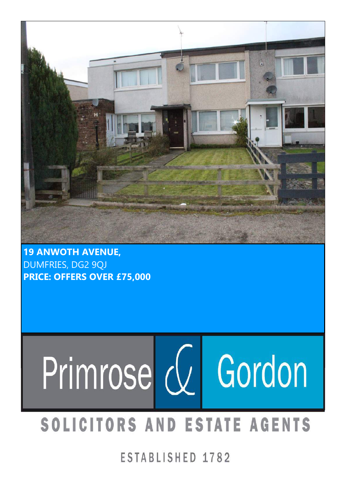

**19 ANWOTH AVENUE,** DUMFRIES, DG2 9QJ **PRICE: OFFERS OVER £75,000**

555 555 5555

## Name Name Name Name I 555 555 5555 55 555 555 5555 555 555 5555 555 555 555 555 5555 5<br>5<br>5 555 555 5555 555 555 5555

# SOLICITORS AND ESTATE AGENTS

ESTABLISHED 1782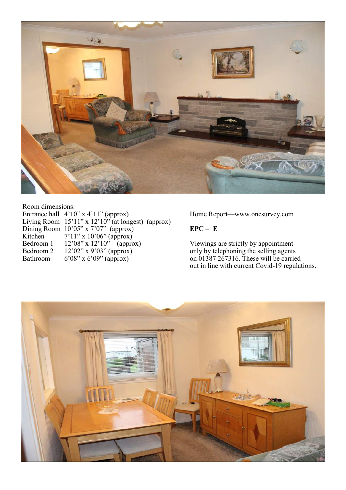

## Room dimensions:

|           | Entrance hall $4'10''$ x $4'11''$ (approx)              | Home Report—www.onesurvey.com          |
|-----------|---------------------------------------------------------|----------------------------------------|
|           | Living Room $15'11''$ x $12'10''$ (at longest) (approx) |                                        |
|           | Dining Room $10'05''$ x $7'07''$ (approx)               | $EPC = E$                              |
|           | Kitchen $7'11''$ x $10'06''$ (approx)                   |                                        |
|           | Bedroom 1 $12'08''$ x 12'10" (approx)                   | Viewings are strictly by appointment   |
| Bedroom 2 | $12'02''$ x 9'03" (approx)                              | only by telephoning the selling agents |
| Bathroom  | $6'08''$ x $6'09''$ (approx)                            | on 01387 267316. These will be carried |

## Home Report—www.onesurvey.com

# $EPC = E$

out in line with current Covid-19 regulations.

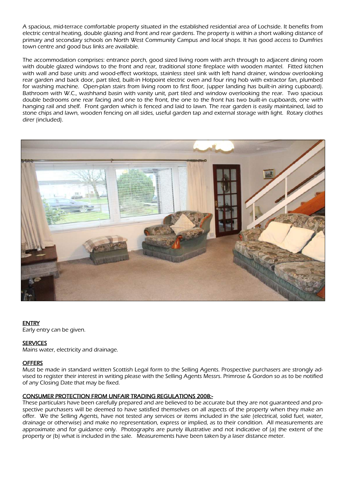A spacious, mid-terrace comfortable property situated in the established residential area of Lochside. It benefits from electric central heating, double glazing and front and rear gardens. The property is within a short walking distance of primary and secondary schools on North West Community Campus and local shops. It has good access to Dumfries town centre and good bus links are available.

The accommodation comprises: entrance porch, good sized living room with arch through to adjacent dining room with double glazed windows to the front and rear, traditional stone fireplace with wooden mantel. Fitted kitchen with wall and base units and wood-effect worktops, stainless steel sink with left hand drainer, window overlooking rear garden and back door, part tiled, built-in Hotpoint electric oven and four ring hob with extractor fan, plumbed for washing machine. Open-plan stairs from living room to first floor, (upper landing has built-in airing cupboard). Bathroom with W.C., washhand basin with vanity unit, part tiled and window overlooking the rear. Two spacious double bedrooms one rear facing and one to the front, the one to the front has two built-in cupboards, one with hanging rail and shelf. Front garden which is fenced and laid to lawn. The rear garden is easily maintained, laid to stone chips and lawn, wooden fencing on all sides, useful garden tap and external storage with light. Rotary clothes direr (included).



## **ENTRY**

Early entry can be given.

## **SERVICES**

Mains water, electricity and drainage.

### **OFFERS**

Must be made in standard written Scottish Legal form to the Selling Agents. Prospective purchasers are strongly advised to register their interest in writing please with the Selling Agents Messrs. Primrose & Gordon so as to be notified of any Closing Date that may be fixed.

### CONSUMER PROTECTION FROM UNFAIR TRADING REGULATIONS 2008:-

These particulars have been carefully prepared and are believed to be accurate but they are not guaranteed and prospective purchasers will be deemed to have satisfied themselves on all aspects of the property when they make an offer. We the Selling Agents, have not tested any services or items included in the sale (electrical, solid fuel, water, drainage or otherwise) and make no representation, express or implied, as to their condition. All measurements are approximate and for guidance only. Photographs are purely illustrative and not indicative of (a) the extent of the property or (b) what is included in the sale. Measurements have been taken by a laser distance meter.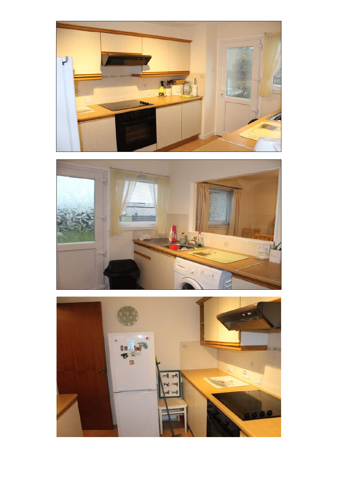



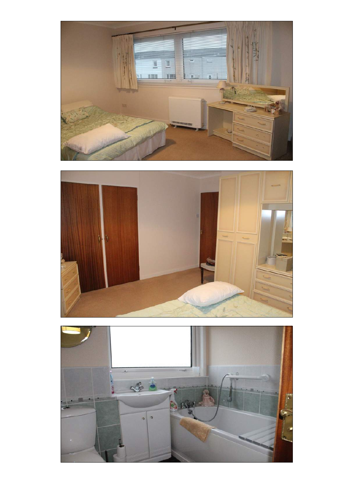